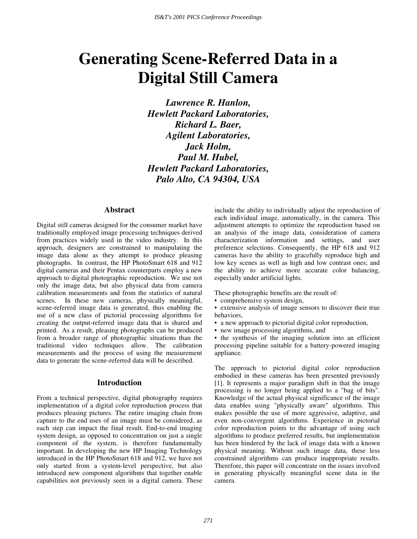# **Generating Scene-Referred Data in a Digital Still Camera**

*Lawrence R. Hanlon, Hewlett Packard Laboratories, Richard L. Baer, Agilent Laboratories, Jack Holm, Paul M. Hubel, Hewlett Packard Laboratories, Palo Alto, CA 94304, USA*

# **Abstract**

Digital still cameras designed for the consumer market have traditionally employed image processing techniques derived from practices widely used in the video industry. In this approach, designers are constrained to manipulating the image data alone as they attempt to produce pleasing photographs. In contrast, the HP PhotoSmart 618 and 912 digital cameras and their Pentax counterparts employ a new approach to digital photographic reproduction. We use not only the image data, but also physical data from camera calibration measurements and from the statistics of natural scenes. In these new cameras, physically meaningful, scene-referred image data is generated, thus enabling the use of a new class of pictorial processing algorithms for creating the output-referred image data that is shared and printed. As a result, pleasing photographs can be produced from a broader range of photographic situations than the traditional video techniques allow. The calibration measurements and the process of using the measurement data to generate the scene-referred data will be described.

## **Introduction**

From a technical perspective, digital photography requires implementation of a digital color reproduction process that produces pleasing pictures. The entire imaging chain from capture to the end uses of an image must be considered, as each step can impact the final result. End-to-end imaging system design, as opposed to concentration on just a single component of the system, is therefore fundamentally important. In developing the new HP Imaging Technology introduced in the HP PhotoSmart 618 and 912, we have not only started from a system-level perspective, but also introduced new component algorithms that together enable capabilities not previously seen in a digital camera. These

include the ability to individually adjust the reproduction of each individual image, automatically, in the camera. This adjustment attempts to optimize the reproduction based on an analysis of the image data, consideration of camera characterization information and settings, and user preference selections. Consequently, the HP 618 and 912 cameras have the ability to gracefully reproduce high and low key scenes as well as high and low contrast ones; and the ability to achieve more accurate color balancing, especially under artificial lights.

These photographic benefits are the result of:

- comprehensive system design,
- extensive analysis of image sensors to discover their true behaviors,
- a new approach to pictorial digital color reproduction,
- new image processing algorithms, and

• the synthesis of the imaging solution into an efficient processing pipeline suitable for a battery-powered imaging appliance.

The approach to pictorial digital color reproduction embodied in these cameras has been presented previously [1]. It represents a major paradigm shift in that the image processing is no longer being applied to a "bag of bits". Knowledge of the actual physical significance of the image data enables using "physically aware" algorithms. This makes possible the use of more aggressive, adaptive, and even non-convergent algorithms. Experience in pictorial color reproduction points to the advantage of using such algorithms to produce preferred results, but implementation has been hindered by the lack of image data with a known physical meaning. Without such image data, these less constrained algorithms can produce inappropriate results. Therefore, this paper will concentrate on the issues involved in generating physically meaningful scene data in the camera.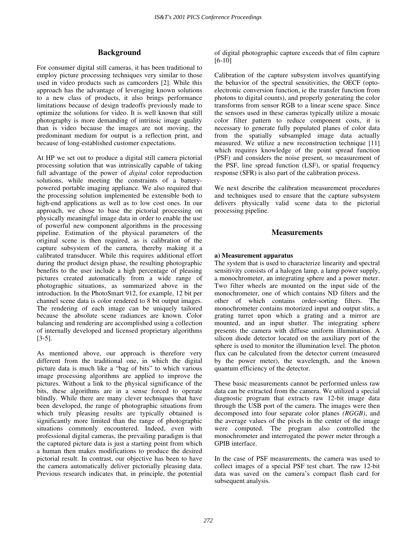# **Background**

For consumer digital still cameras, it has been traditional to employ picture processing techniques very similar to those used in video products such as camcorders [2]. While this approach has the advantage of leveraging known solutions to a new class of products, it also brings performance limitations because of design tradeoffs previously made to optimize the solutions for video. It is well known that still photography is more demanding of intrinsic image quality than is video because the images are not moving, the predominant medium for output is a reflection print, and because of long-established customer expectations.

At HP we set out to produce a digital still camera pictorial processing solution that was intrinsically capable of taking full advantage of the power of *digital* color reproduction solutions, while meeting the constraints of a batterypowered portable imaging appliance. We also required that the processing solution implemented be extensible both to high-end applications as well as to low cost ones. In our approach, we chose to base the pictorial processing on physically meaningful image data in order to enable the use of powerful new component algorithms in the processing pipeline. Estimation of the physical parameters of the original scene is then required, as is calibration of the capture subsystem of the camera, thereby making it a calibrated transducer. While this requires additional effort during the product design phase, the resulting photographic benefits to the user include a high percentage of pleasing pictures created automatically from a wide range of photographic situations, as summarized above in the introduction. In the PhotoSmart 912, for example, 12 bit per channel scene data is color rendered to 8 bit output images. The rendering of each image can be uniquely tailored because the absolute scene radiances are known. Color balancing and rendering are accomplished using a collection of internally developed and licensed proprietary algorithms [3-5].

As mentioned above, our approach is therefore very different from the traditional one, in which the digital picture data is much like a "bag of bits" to which various image processing algorithms are applied to improve the pictures. Without a link to the physical significance of the bits, these algorithms are in a sense forced to operate blindly. While there are many clever techniques that have been developed, the range of photographic situations from which truly pleasing results are typically obtained is significantly more limited than the range of photographic situations commonly encountered. Indeed, even with professional digital cameras, the prevailing paradigm is that the captured picture data is just a starting point from which a human then makes modifications to produce the desired pictorial result. In contrast, our objective has been to have the camera automatically deliver pictorially pleasing data. Previous research indicates that, in principle, the potential

of digital photographic capture exceeds that of film capture [6-10]

Calibration of the capture subsystem involves quantifying the behavior of the spectral sensitivities, the OECF (optoelectronic conversion function, ie the transfer function from photons to digital counts), and properly generating the color transforms from sensor RGB to a linear scene space. Since the sensors used in these cameras typically utilize a mosaic color filter pattern to reduce component costs, it is necessary to generate fully populated planes of color data from the spatially subsampled image data actually measured. We utilize a new reconstruction technique [11] which requires knowledge of the point spread function (PSF) and considers the noise present, so measurement of the PSF, line spread function (LSF), or spatial frequency response (SFR) is also part of the calibration process.

We next describe the calibration measurement procedures and techniques used to ensure that the capture subsystem delivers physically valid scene data to the pictorial processing pipeline.

# **Measurements**

## **a) Measurement apparatus**

The system that is used to characterize linearity and spectral sensitivity consists of a halogen lamp, a lamp power supply, a monochrometer, an integrating sphere and a power meter. Two filter wheels are mounted on the input side of the monochrometer, one of which contains ND filters and the other of which contains order-sorting filters. The monochrometer contains motorized input and output slits, a grating turret upon which a grating and a mirror are mounted, and an input shutter. The integrating sphere presents the camera with diffuse uniform illumination. A silicon diode detector located on the auxiliary port of the sphere is used to monitor the illumination level. The photon flux can be calculated from the detector current (measured by the power meter), the wavelength, and the known quantum efficiency of the detector.

These basic measurements cannot be performed unless raw data can be extracted from the camera. We utilized a special diagnostic program that extracts raw 12-bit image data through the USB port of the camera. The images were then decomposed into four separate color planes *(RGGB)*, and the average values of the pixels in the center of the image were computed. The program also controlled the monochrometer and interrogated the power meter through a GPIB interface.

In the case of PSF measurements, the camera was used to collect images of a special PSF test chart. The raw 12-bit data was saved on the camera's compact flash card for subsequent analysis.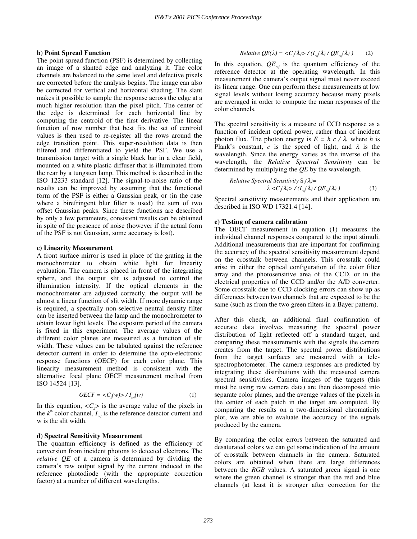#### **b) Point Spread Function**

The point spread function (PSF) is determined by collecting an image of a slanted edge and analyzing it. The color channels are balanced to the same level and defective pixels are corrected before the analysis begins. The image can also be corrected for vertical and horizontal shading. The slant makes it possible to sample the response across the edge at a much higher resolution than the pixel pitch. The center of the edge is determined for each horizontal line by computing the centroid of the first derivative. The linear function of row number that best fits the set of centroid values is then used to re-register all the rows around the edge transition point. This super-resolution data is then filtered and differentiated to yield the PSF. We use a transmission target with a single black bar in a clear field, mounted on a white plastic diffuser that is illuminated from the rear by a tungsten lamp. This method is described in the ISO 12233 standard [12]. The signal-to-noise ratio of the results can be improved by assuming that the functional form of the PSF is either a Gaussian peak, or (in the case where a birefringent blur filter is used) the sum of two offset Gaussian peaks. Since these functions are described by only a few parameters, consistent results can be obtained in spite of the presence of noise (however if the actual form of the PSF is not Gaussian, some accuracy is lost).

## **c) Linearity Measurement**

A front surface mirror is used in place of the grating in the monochrometer to obtain white light for linearity evaluation. The camera is placed in front of the integrating sphere, and the output slit is adjusted to control the illumination intensity. If the optical elements in the monochrometer are adjusted correctly, the output will be almost a linear function of slit width. If more dynamic range is required, a spectrally non-selective neutral density filter can be inserted between the lamp and the monochrometer to obtain lower light levels. The exposure period of the camera is fixed in this experiment. The average values of the different color planes are measured as a function of slit width. These values can be tabulated against the reference detector current in order to determine the opto-electronic response functions (OECF) for each color plane. This linearity measurement method is consistent with the alternative focal plane OECF measurement method from ISO 14524 [13].

$$
OECF = \langle C_{k}(w) \rangle / I_{ref}(w) \tag{1}
$$

In this equation,  $\langle C_{k} \rangle$  is the average value of the pixels in the  $k^{th}$  color channel,  $I_{ref}$  is the reference detector current and w is the slit width.

#### **d) Spectral Sensitivity Measurement**

The quantum efficiency is defined as the efficiency of conversion from incident photons to detected electrons. The *relative QE* of a camera is determined by dividing the camera's raw output signal by the current induced in the reference photodiode (with the appropriate correction factor) at a number of different wavelengths.

$$
Relative \tQE(\lambda) = \langle C_{k}(\lambda) \rangle / (I_{ref}(\lambda) / QE_{ref}(\lambda)) \tag{2}
$$

In this equation,  $QE_{ref}$  is the quantum efficiency of the reference detector at the operating wavelength. In this measurement the camera's output signal must never exceed its linear range. One can perform these measurements at low signal levels without losing accuracy because many pixels are averaged in order to compute the mean responses of the color channels.

The spectral sensitivity is a measure of CCD response as a function of incident optical power, rather than of incident photon flux. The photon energy is  $E = h c / \lambda$ , where *h* is Plank's constant, *c* is the speed of light, and  $\lambda$  is the wavelength. Since the energy varies as the inverse of the wavelength, the *Relative Spectral Sensitivity* can be determined by multiplying the *QE* by the wavelength.

Relative Spectral Sensitivity 
$$
S_k(\lambda) = \lambda < C_k(\lambda) > / (I_{ref}(\lambda) / QE_{ref}(\lambda))
$$
 (3)

Spectral sensitivity measurements and their application are described in ISO WD 17321.4 [14].

## **e) Testing of camera calibration**

The OECF measurement in equation (1) measures the individual channel responses compared to the input stimuli. Additional measurements that are important for confirming the accuracy of the spectral sensitivity measurement depend on the crosstalk between channels. This crosstalk could arise in either the optical configuration of the color filter array and the photosensitive area of the CCD, or in the electrical properties of the CCD and/or the A/D converter. Some crosstalk due to CCD clocking errors can show up as differences between two channels that are expected to be the same (such as from the two green filters in a Bayer pattern).

After this check, an additional final confirmation of accurate data involves measuring the spectral power distribution of light reflected off a standard target, and comparing these measurements with the signals the camera creates from the target. The spectral power distributions from the target surfaces are measured with a telespectrophotometer. The camera responses are predicted by integrating these distributions with the measured camera spectral sensitivities. Camera images of the targets (this must be using raw camera data) are then decomposed into separate color planes, and the average values of the pixels in the center of each patch in the target are computed. By comparing the results on a two-dimensional chromaticity plot, we are able to evaluate the accuracy of the signals produced by the camera.

By comparing the color errors between the saturated and desaturated colors we can get some indication of the amount of crosstalk between channels in the camera. Saturated colors are obtained when there are large differences between the *RGB* values. A saturated green signal is one where the green channel is stronger than the red and blue channels (at least it is stronger after correction for the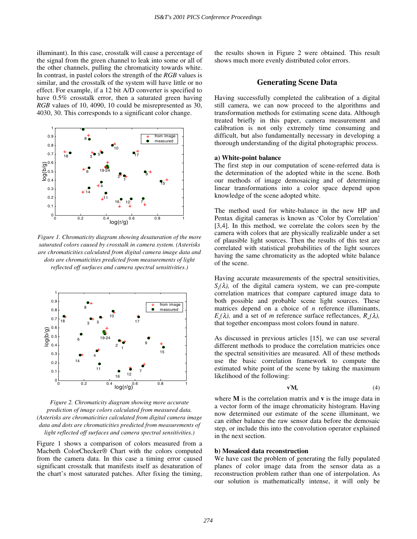illuminant). In this case, crosstalk will cause a percentage of the signal from the green channel to leak into some or all of the other channels, pulling the chromaticity towards white. In contrast, in pastel colors the strength of the *RGB* values is similar, and the crosstalk of the system will have little or no effect. For example, if a 12 bit A/D converter is specified to have 0.5% crosstalk error, then a saturated green having *RGB* values of 10, 4090, 10 could be misrepresented as 30, 4030, 30. This corresponds to a significant color change.



*Figure 1. Chromaticity diagram showing desaturation of the more saturated colors caused by crosstalk in camera system. (Asterisks are chromaticities calculated from digital camera image data and dots are chromaticities predicted from measurements of light reflected off surfaces and camera spectral sensitivities.)*



*Figure 2. Chromaticity diagram showing more accurate prediction of image colors calculated from measured data. (Asterisks are chromaticities calculated from digital camera image data and dots are chromaticities predicted from measurements of light reflected off surfaces and camera spectral sensitivities.)*

Figure 1 shows a comparison of colors measured from a Macbeth ColorChecker® Chart with the colors computed from the camera data. In this case a timing error caused significant crosstalk that manifests itself as desaturation of the chart's most saturated patches. After fixing the timing, the results shown in Figure 2 were obtained. This result shows much more evenly distributed color errors.

## **Generating Scene Data**

Having successfully completed the calibration of a digital still camera, we can now proceed to the algorithms and transformation methods for estimating scene data. Although treated briefly in this paper, camera measurement and calibration is not only extremely time consuming and difficult, but also fundamentally necessary in developing a thorough understanding of the digital photographic process.

## **a) White-point balance**

The first step in our computation of scene-referred data is the determination of the adopted white in the scene. Both our methods of image demosaicing and of determining linear transformations into a color space depend upon knowledge of the scene adopted white.

The method used for white-balance in the new HP and Pentax digital cameras is known as 'Color by Correlation' [3,4]. In this method, we correlate the colors seen by the camera with colors that are physically realizable under a set of plausible light sources. Then the results of this test are correlated with statistical probabilities of the light sources having the same chromaticity as the adopted white balance of the scene.

Having accurate measurements of the spectral sensitivities,  $S_k(\lambda)$ , of the digital camera system, we can pre-compute correlation matrices that compare captured image data to both possible and probable scene light sources. These matrices depend on a choice of *n* reference illuminants,  $E(\lambda)$ , and a set of *m* reference surface reflectances,  $R(\lambda)$ , that together encompass most colors found in nature.

As discussed in previous articles [15], we can use several different methods to produce the correlation matricies once the spectral sensitivities are measured. All of these methods use the basic correlation framework to compute the estimated white point of the scene by taking the maximum likelihood of the following:

$$
\mathbf{v}^{\mathsf{t}}\mathbf{M},\tag{4}
$$

where **M** is the correlation matrix and **v** is the image data in a vector form of the image chromaticity histogram. Having now determined our estimate of the scene illuminant, we can either balance the raw sensor data before the demosaic step, or include this into the convolution operator explained in the next section.

## **b) Mosaiced data reconstruction**

We have cast the problem of generating the fully populated planes of color image data from the sensor data as a reconstruction problem rather than one of interpolation. As our solution is mathematically intense, it will only be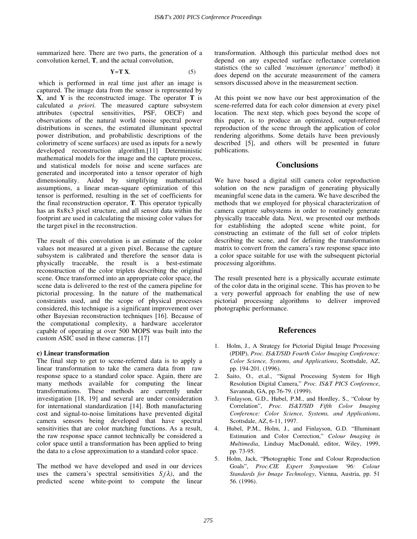summarized here. There are two parts, the generation of a convolution kernel, **T**, and the actual convolution,

$$
Y = T X, \tag{5}
$$

which is performed in real time just after an image is captured. The image data from the sensor is represented by **X**, and **Y** is the reconstructed image. The operator **T** is calculated *a priori.* The measured capture subsystem attributes (spectral sensitivities, PSF, OECF) and observations of the natural world (noise spectral power distributions in scenes, the estimated illuminant spectral power distribution, and probabilistic descriptions of the colorimetry of scene surfaces) are used as inputs for a newly developed reconstruction algorithm.[11] Deterministic mathematical models for the image and the capture process, and statistical models for noise and scene surfaces are generated and incorporated into a tensor operator of high dimensionality. Aided by simplifying mathematical assumptions, a linear mean-square optimization of this tensor is performed, resulting in the set of coefficients for the final reconstruction operator, **T**. This operator typically has an 8x8x3 pixel structure, and all sensor data within the footprint are used in calculating the missing color values for the target pixel in the reconstruction.

The result of this convolution is an estimate of the color values not measured at a given pixel. Because the capture subsystem is calibrated and therefore the sensor data is physically traceable, the result is a best-estimate reconstruction of the color triplets describing the original scene. Once transformed into an appropriate color space, the scene data is delivered to the rest of the camera pipeline for pictorial processing. In the nature of the mathematical constraints used, and the scope of physical processes considered, this technique is a significant improvement over other Bayesian reconstruction techniques [16]. Because of the computational complexity, a hardware accelerator capable of operating at over 500 MOPS was built into the custom ASIC used in these cameras. [17]

## **c) Linear transformation**

The final step to get to scene-referred data is to apply a linear transformation to take the camera data from raw response space to a standard color space. Again, there are many methods available for computing the linear transformations. These methods are currently under investigation [18, 19] and several are under consideration for international standardization [14]. Both manufacturing cost and signal-to-noise limitations have prevented digital camera sensors being developed that have spectral sensitivities that are color matching functions. As a result, the raw response space cannot technically be considered a color space until a transformation has been applied to bring the data to a close approximation to a standard color space.

The method we have developed and used in our devices uses the camera's spectral sensitivities  $S_k(\lambda)$ , and the predicted scene white-point to compute the linear transformation. Although this particular method does not depend on any expected surface reflectance correlation statistics (the so called *'maximum ignorance'* method) it does depend on the accurate measurement of the camera sensors discussed above in the measurement section.

At this point we now have our best approximation of the scene-referred data for each color dimension at every pixel location. The next step, which goes beyond the scope of this paper, is to produce an optimized, output-referred reproduction of the scene through the application of color rendering algorithms. Some details have been previously described [5], and others will be presented in future publications.

# **Conclusions**

We have based a digital still camera color reproduction solution on the new paradigm of generating physically meaningful scene data in the camera. We have described the methods that we employed for physical characterization of camera capture subsystems in order to routinely generate physically traceable data. Next, we presented our methods for establishing the adopted scene white point, for constructing an estimate of the full set of color triplets describing the scene, and for defining the transformation matrix to convert from the camera's raw response space into a color space suitable for use with the subsequent pictorial processing algorithms.

The result presented here is a physically accurate estimate of the color data in the original scene. This has proven to be a very powerful approach for enabling the use of new pictorial processing algorithms to deliver improved photographic performance.

# **References**

- 1. Holm, J., A Strategy for Pictorial Digital Image Processing (PDIP), *Proc. IS&T/SID Fourth Color Imaging Conference: Color Science, Systems, and Applications*, Scottsdale, AZ, pp. 194-201. (1996).
- 2. Saito, O., et.al., "Signal Processing System for High Resolution Digital Camera," *Proc. IS&T PICS Conference*, Savannah, GA, pp.76-79. (1999).
- 3. Finlayson, G.D., Hubel, P.M., and Hordley, S., "Colour by Correlation", *Proc. IS&T/SID Fifth Color Imaging Conference: Color Science, Systems, and Applications*, Scottsdale, AZ, 6-11, 1997.
- 4. Hubel, P.M., Holm, J., and Finlayson, G.D. "Illuminant Estimation and Color Correction," *Colour Imaging in Multimedia*, Lindsay MacDonald, editor, Wiley, 1999, pp. 73-95.
- 5. Holm, Jack, "Photographic Tone and Colour Reproduction Goals", *Proc.CIE Expert Symposium '96: Colour Standards for Image Technology*, Vienna, Austria, pp. 51 56. (1996).